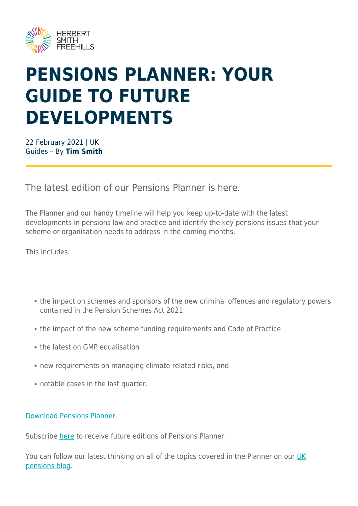

# **PENSIONS PLANNER: YOUR GUIDE TO FUTURE DEVELOPMENTS**

22 February 2021 | UK Guides – By **Tim Smith**

The latest edition of our Pensions Planner is here.

The Planner and our handy timeline will help you keep up-to-date with the latest developments in pensions law and practice and identify the key pensions issues that your scheme or organisation needs to address in the coming months.

This includes:

- the impact on schemes and sponsors of the new criminal offences and regulatory powers contained in the Pension Schemes Act 2021
- the impact of the new scheme funding requirements and Code of Practice
- the latest on GMP equalisation
- new requirements on managing climate-related risks, and
- notable cases in the last quarter.

#### [Download Pensions Planner](https://www.herbertsmithfreehills.com/file/52046/download?token=ivR-JXPX)

Subscribe [here](https://sites-herbertsmithfreehills.vuturevx.com/18/18053/landing-pages/weblink---pensions-planner---quarterly-update.asp) to receive future editions of Pensions Planner.

You can follow our latest thinking on all of the topics covered in the Planner on our [UK](https://hsfnotes.com/pensions/) [pensions blog](https://hsfnotes.com/pensions/).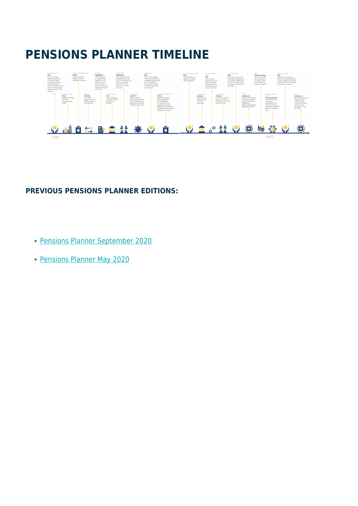### **PENSIONS PLANNER TIMELINE**



#### **PREVIOUS PENSIONS PLANNER EDITIONS:**

- [Pensions Planner September 2020](https://sites-herbertsmithfreehills.vuturevx.com/20/21553/landing-pages/pensions-planner-sep-2020---final.pdf)
- [Pensions Planner May 2020](https://sites-herbertsmithfreehills.vuturevx.com/20/21553/landing-pages/3656o-pensions-planner-may-2020---final.pdf)